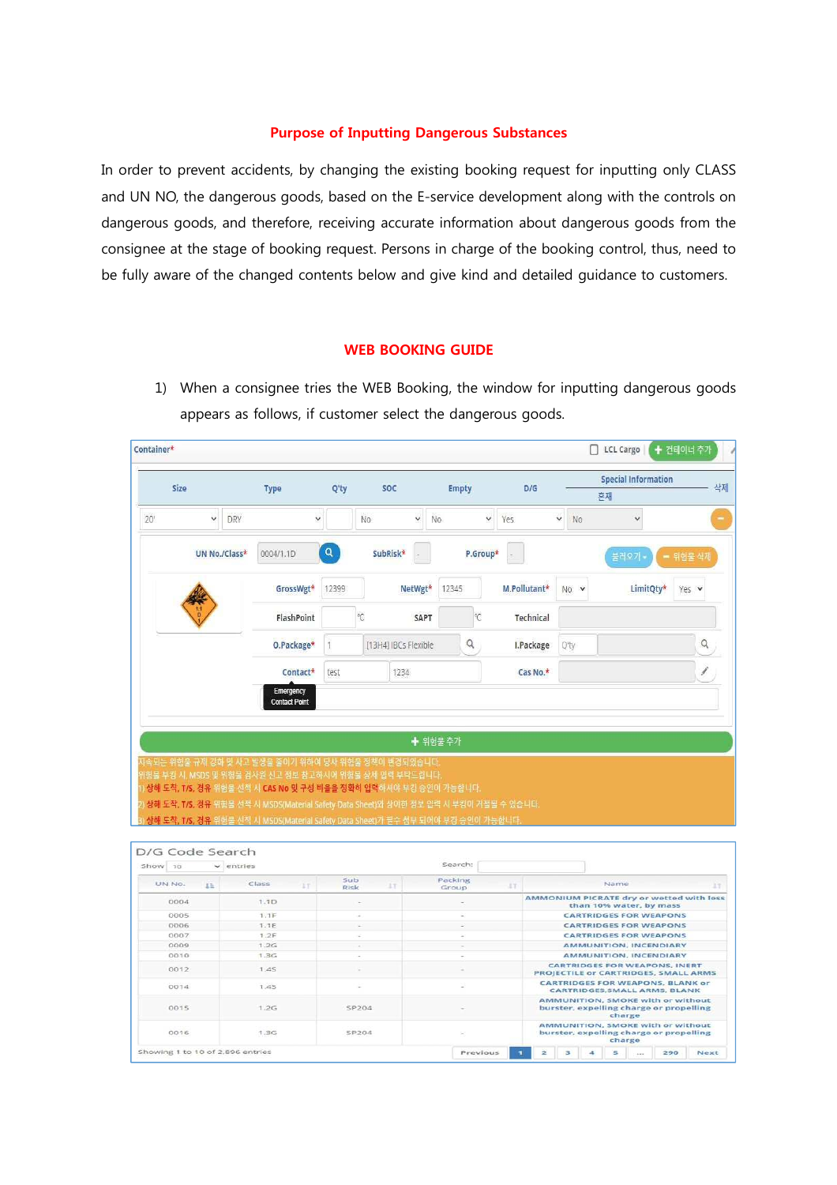## **Purpose of Inputting Dangerous Substances**

In order to prevent accidents, by changing the existing booking request for inputting only CLASS and UN NO, the dangerous goods, based on the E-service development along with the controls on dangerous goods, and therefore, receiving accurate information about dangerous goods from the consignee at the stage of booking request. Persons in charge of the booking control, thus, need to be fully aware of the changed contents below and give kind and detailed guidance to customers.

## **WEB BOOKING GUIDE**

1) When a consignee tries the WEB Booking, the window for inputting dangerous goods appears as follows, if customer select the dangerous goods.

| Size                            |    |                | <b>Type</b>                                                                                                                                                                     | Q'ty         |                   | <b>SOC</b>           | <b>Empty</b>     |     | D/G          |                                                                                                                          | 혼재     | <b>Special Information</b>                               |        | 삭제 |
|---------------------------------|----|----------------|---------------------------------------------------------------------------------------------------------------------------------------------------------------------------------|--------------|-------------------|----------------------|------------------|-----|--------------|--------------------------------------------------------------------------------------------------------------------------|--------|----------------------------------------------------------|--------|----|
| 20'                             | v  | <b>DRY</b>     |                                                                                                                                                                                 | $\checkmark$ | No.               | $\check{~}$          | No<br>v          | Yes |              | Ÿ<br>No                                                                                                                  |        | v                                                        |        |    |
|                                 |    | UN No./Class*  | 0004/1.1D                                                                                                                                                                       | $\alpha$     |                   | SubRisk*             | P.Group*         |     |              |                                                                                                                          | 블러오기   |                                                          | 위험물 삭제 |    |
|                                 |    |                | GrossWgt*                                                                                                                                                                       | 12399        |                   | NetWgt*              | 12345            |     | M.Pollutant* | $No \times$                                                                                                              |        | LimitOty*                                                | Yes v  |    |
|                                 |    |                | FlashPoint                                                                                                                                                                      |              | $^\circ\!{\rm C}$ | SAPT                 | °C               |     | Technical    |                                                                                                                          |        |                                                          |        |    |
|                                 |    |                | O.Package*                                                                                                                                                                      | 1            |                   | [13H4] IBCs Flexible | $\alpha$         |     | I.Package    | Q'ty                                                                                                                     |        |                                                          |        | Q  |
|                                 |    |                | Contact*                                                                                                                                                                        | test         |                   | 1234                 |                  |     | Cas No.*     |                                                                                                                          |        |                                                          |        |    |
|                                 |    |                | 지속되는 위험물 규제 강화 및 사고 발생을 줄이기 위하여 당사 위험을 정책이 변경되었습니다.<br>(항물 부킹 시, MSDS 및 위험물 검사원 신고 정보 참고하시어 위험물 상세 임력 부탁드립니다<br>상해 도착, T/S, 경유 위험을 선적 시 CAS No 및 구성 비율을 정확히 입력하셔야 부킹 승인이 가능합니다. |              |                   |                      | ← 위험물 추가         |     |              |                                                                                                                          |        |                                                          |        |    |
|                                 |    |                | 상해 도착, T/S, 경유 위험을 선적 시 MSDS(Material Safety Data Sheet)와 상이한 정보 입력 시 부킹이 거절될 수 있습니다.<br>상해 도착, T/S, 경유 위험물 선적 시 MSDS(Material Safety Data Sheet)가 필수 첨부 되어야 부캉 승인이 가능합니다.      |              |                   |                      |                  |     |              |                                                                                                                          |        |                                                          |        |    |
| 30                              |    | $\vee$ entries |                                                                                                                                                                                 |              |                   |                      | Search:          |     |              |                                                                                                                          |        |                                                          |        |    |
| UN No.                          | 13 |                | Class<br>3.7                                                                                                                                                                    | Sub<br>Risk  |                   | IT                   | Packing<br>Group | ET. |              |                                                                                                                          | Name   |                                                          |        |    |
| 0004                            |    |                | 1.1D                                                                                                                                                                            |              |                   |                      |                  |     |              | AMMONIUM PICRATE dry or wetted with less                                                                                 |        |                                                          |        |    |
| 0005                            |    |                | 1.1F                                                                                                                                                                            |              |                   |                      |                  |     |              |                                                                                                                          |        | than 10% water, by mass<br><b>CARTRIDGES FOR WEAPONS</b> |        |    |
| 0006                            |    |                | 1.1E                                                                                                                                                                            |              | ù,                |                      |                  |     |              |                                                                                                                          |        | <b>CARTRIDGES FOR WEAPONS</b>                            |        |    |
| 0007                            |    |                | 1.2F                                                                                                                                                                            |              | i,                |                      |                  |     |              |                                                                                                                          |        | <b>CARTRIDGES FOR WEAPONS</b>                            |        |    |
| 0009                            |    |                | 1.2G                                                                                                                                                                            |              | ī.                |                      |                  |     |              |                                                                                                                          |        | AMMUNITION, INCENDIARY                                   |        |    |
| D/G Code Search<br>Show<br>0010 |    |                | 1.3G                                                                                                                                                                            |              | ٠                 |                      |                  |     |              |                                                                                                                          |        | <b>AMMUNITION, INCENDIARY</b>                            |        | 13 |
| 0012                            |    |                | 1.45                                                                                                                                                                            |              |                   |                      |                  |     |              | <b>CARTRIDGES FOR WEAPONS, INERT</b>                                                                                     |        |                                                          |        |    |
| 0014                            |    |                | 1.45                                                                                                                                                                            |              |                   |                      |                  |     |              | PROJECTILE or CARTRIDGES, SMALL ARMS<br><b>CARTRIDGES FOR WEAPONS, BLANK or</b><br>CARTRIDGES, SMALL ARMS, BLANK         |        |                                                          |        |    |
| 0015                            |    |                | 1.2G                                                                                                                                                                            |              | SP204             |                      |                  |     |              | AMMUNITION, SMOKE with or without<br>burster, expelling charge or propelling<br><b>AMMUNITION, SMOKE with or without</b> | charge |                                                          |        |    |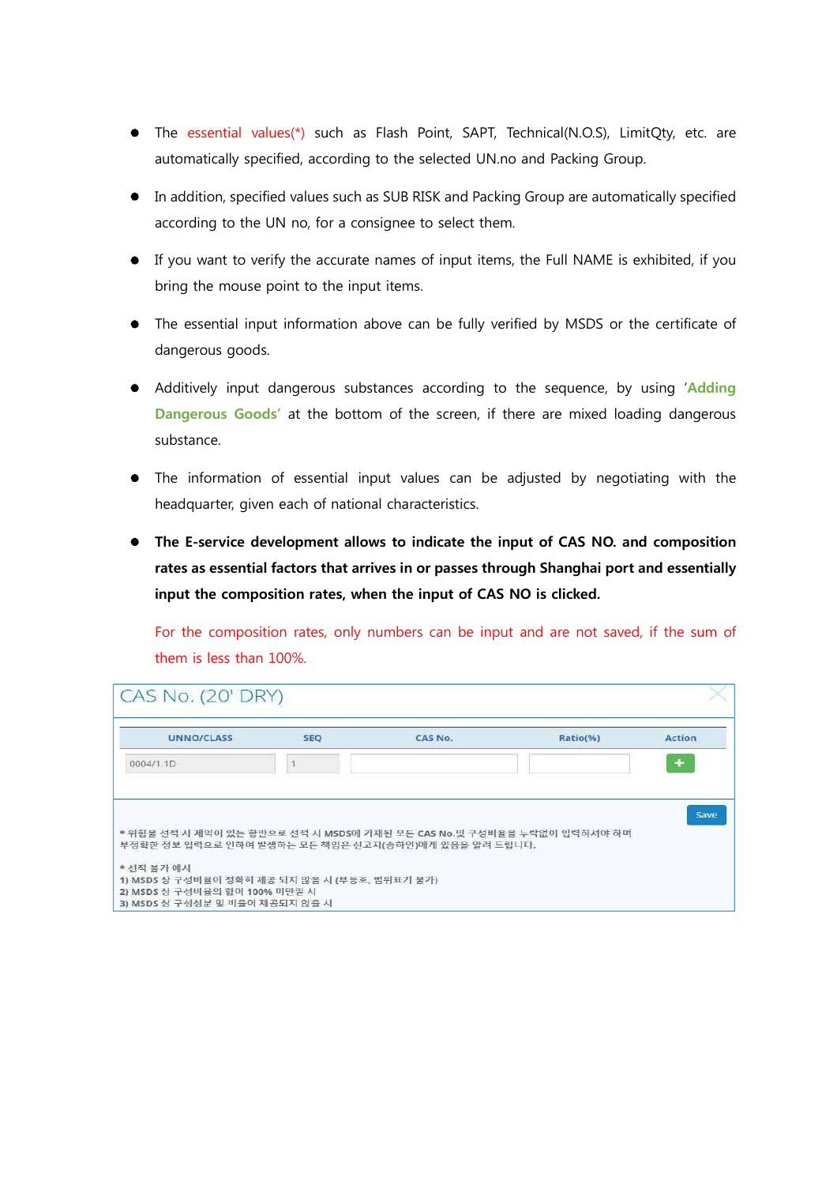- The essential values(\*) such as Flash Point, SAPT, Technical(N.O.S), LimitQty, etc. are automatically specified, according to the selected UN.no and Packing Group.
- In addition, specified values such as SUB RISK and Packing Group are automatically specified according to the UN no, for a consignee to select them.
- If you want to verify the accurate names of input items, the Full NAME is exhibited, if you bring the mouse point to the input items.
- The essential input information above can be fully verified by MSDS or the certificate of dangerous goods.
- Additively input dangerous substances according to the sequence, by using '**Adding Dangerous Goods'** at the bottom of the screen, if there are mixed loading dangerous substance.
- The information of essential input values can be adjusted by negotiating with the headquarter, given each of national characteristics.
- **The E-service development allows to indicate the input of CAS NO. and composition rates as essential factors that arrives in or passes through Shanghai port and essentially input the composition rates, when the input of CAS NO is clicked.**

For the composition rates, only numbers can be input and are not saved, if the sum of them is less than 100%.

| <b>UNNO/CLASS</b> | <b>SEQ</b> | CAS No.                                                                                                                       | Ratio(%) | <b>Action</b> |
|-------------------|------------|-------------------------------------------------------------------------------------------------------------------------------|----------|---------------|
| 0004/1.1D         |            |                                                                                                                               |          | ÷             |
|                   |            |                                                                                                                               |          |               |
|                   |            |                                                                                                                               |          |               |
|                   |            |                                                                                                                               |          | Save          |
|                   |            |                                                                                                                               |          |               |
|                   |            | * 위험물 선적 시 제약이 있는 항만으로 선적 시 MSDS에 기재된 모든 CAS No.및 구성비율을 누락없이 입력하셔야 하며<br>부정확한 정보 입력으로 인하여 발생하는 모든 책임은 신고자(송하인)에게 있음을 알려 드립니다. |          |               |
| * 선적 불가 예시        |            |                                                                                                                               |          |               |